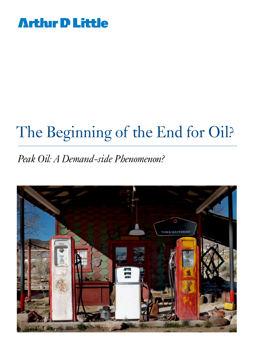

# The Beginning of the End for Oil?

### *Peak Oil: A Demand-side Phenomenon?*

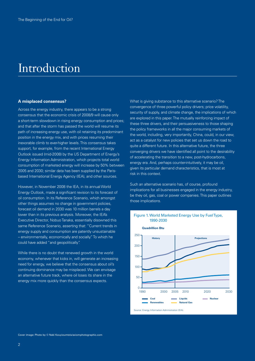### Introduction

#### **A misplaced consensus?**

Across the energy industry, there appears to be a strong consensus that the economic crisis of 2008/9 will cause only a short-term slowdown in rising energy consumption and prices; and that after the storm has passed the world will resume its path of increasing energy use, with oil retaining its predominant position in the energy mix, and with prices resuming their inexorable climb to ever-higher levels. This consensus takes support, for example, from the recent International Energy Outlook issued (mid-2008) by the US Department of Energy's Energy Information Administration, which projects total world consumption of marketed energy will increase by 50% between 2005 and 2030; similar data has been supplied by the Parisbased International Energy Agency (IEA), and other sources.

However, in November 2008 the IEA, in its annual World Energy Outlook, made a significant revision to its forecast of oil consumption. In its Reference Scenario, which amongst other things assumes no change in government policies, forecast oil demand in 2030 was 10 million barrels a day lower than in its previous analysis. Moreover, the IEA's Executive Director, Nobuo Tanaka, essentially disowned this same Reference Scenario, asserting that: "Current trends in energy supply and consumption are patently unsustainable – environmentally, economically and socially." To which he could have added "and geopolitically".

While there is no doubt that renewed growth in the world economy, whenever that kicks in, will generate an increasing need for energy, we believe that the consensus about oil's continuing dominance may be misplaced. We can envisage an alternative future track, where oil loses its share in the energy mix more quickly than the consensus expects.

What is giving substance to this alternative scenario? The convergence of three powerful policy drivers; price volatility, security of supply, and climate change, the implications of which are explored in this paper. The mutually reinforcing impact of these three drivers, and their persuasiveness to those shaping the policy frameworks in all the major consuming markets of the world, including, very importantly, China, could, in our view, act as a catalyst for new policies that set us down the road to quite a different future. In this alternative future, the three converging drivers we have identified all point to the desirability of accelerating the transition to a new, post-hydrocarbons, energy era. And, perhaps counter-intuitively, it may be oil, given its particular demand characteristics, that is most at risk in this context.

Such an alternative scenario has, of course, profound implications for all businesses engaged in the energy industry, be they oil, gas, coal or power companies. This paper outlines those implications.



#### Figure 1. World Marketed Energy Use by Fuel Type, 1990-2030

Cover image: Photo by © Naki Kouyioumtzis/axiomphotographic.com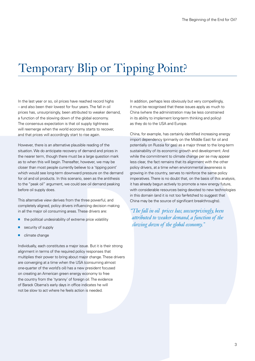### Temporary Blip or Tipping Point?

In the last year or so, oil prices have reached record highs – and also been their lowest for four years. The fall in oil prices has, unsurprisingly, been attributed to weaker demand, a function of the slowing down of the global economy. The consensus expectation is that oil supply tightness will reemerge when the world economy starts to recover, and that prices will accordingly start to rise again.

However, there is an alternative plausible reading of the situation. We do anticipate recovery of demand and prices in the nearer term, though there must be a large question mark as to when this will begin. Thereafter, however, we may be closer than most people currently believe to a 'tipping point' which would see long-term downward pressure on the demand for oil and oil products. In this scenario, seen as the antithesis to the "peak oil" argument, we could see oil demand peaking before oil supply does.

This alternative view derives from the three powerful, and completely aligned, policy drivers influencing decision making in all the major oil consuming areas. These drivers are:

- $\blacksquare$  the political undesirability of extreme price volatility
- security of supply
- $\blacksquare$  climate change

Individually, each constitutes a major issue. But it is their strong alignment in terms of the required policy responses that multiplies their power to bring about major change. These drivers are converging at a time when the USA (consuming almost one-quarter of the world's oil) has a new president focused on creating an American green energy economy to free the country from the 'tyranny' of foreign oil. The evidence of Barack Obama's early days in office indicates he will not be slow to act where he feels action is needed.

In addition, perhaps less obviously but very compellingly, it must be recognised that these issues apply as much to China (where the administration may be less constrained in its ability to implement long-term thinking and policy) as they do to the USA and Europe.

China, for example, has certainly identified increasing energy import dependency (primarily on the Middle East for oil and potentially on Russia for gas) as a major threat to the long-term sustainability of its economic growth and development. And while the commitment to climate change per se may appear less clear, the fact remains that its alignment with the other policy drivers, at a time when environmental awareness is growing in the country, serves to reinforce the same policy imperatives. There is no doubt that, on the basis of this analysis, it has already begun actively to promote a new energy future, with considerable resources being devoted to new technologies in this domain (and it is not too far-fetched to suggest that China may be the source of significant breakthroughs).

*"The fall in oil prices has, unsurprisingly, been attributed to weaker demand, a function of the slowing down of the global economy."*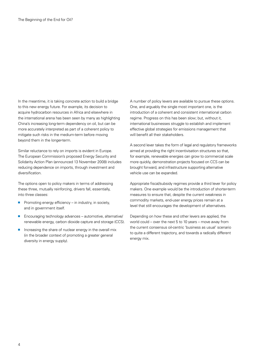In the meantime, it is taking concrete action to build a bridge to this new energy future. For example, its decision to acquire hydrocarbon resources in Africa and elsewhere in the international arena has been seen by many as highlighting China's increasing long-term dependency on oil, but can be more accurately interpreted as part of a coherent policy to mitigate such risks in the medium-term before moving beyond them in the longer-term.

Similar reluctance to rely on imports is evident in Europe. The European Commission's proposed Energy Security and Solidarity Action Plan (announced 13 November 2008) includes reducing dependence on imports, through investment and diversification.

The options open to policy makers in terms of addressing these three, mutually reinforcing, drivers fall, essentially, into three classes:

- **Promoting energy efficiency in industry, in society,** and in government itself.
- $\blacksquare$  Encouraging technology advances automotive, alternative/ renewable energy, carbon dioxide capture and storage (CCS).
- $\blacksquare$  Increasing the share of nuclear energy in the overall mix (in the broader context of promoting a greater general diversity in energy supply).

A number of policy levers are available to pursue these options. One, and arguably the single most important one, is the introduction of a coherent and consistent international carbon regime. Progress on this has been slow; but, without it, international businesses struggle to establish and implement effective global strategies for emissions management that will benefit all their stakeholders.

A second lever takes the form of legal and regulatory frameworks aimed at providing the right incentivisation structures so that, for example, renewable energies can grow to commercial scale more quickly, demonstration projects focused on CCS can be brought forward, and infrastructure supporting alternative vehicle use can be expanded.

Appropriate fiscal/subsidy regimes provide a third lever for policy makers. One example would be the introduction of shorter-term measures to ensure that, despite the current weakness in commodity markets, end-user energy prices remain at a level that still encourages the development of alternatives.

Depending on how these and other levers are applied, the world could – over the next 5 to 10 years – move away from the current consensus oil-centric 'business as usual' scenario to quite a different trajectory, and towards a radically different energy mix.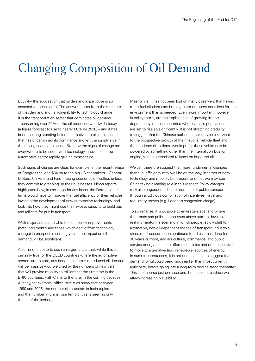### Changing Composition of Oil Demand

But why the suggestion that oil demand in particular is so exposed to these shifts? The answer stems from the structure of that demand and its vulnerability to technology change. It is the transportation sector that dominates oil demand – consuming over 50% of the oil produced worldwide today (a figure forecast to rise to nearer 60% by 2030) – and it has been the long-standing lack of alternatives to oil in this sector that has underpinned its dominance and left the supply side in the driving seat, so to speak. But now the signs of change are everywhere to be seen, with technology innovation in the automotive sector rapidly gaining momentum.

Such signs of change are clear, for example, in the recent refusal of Congress to lend \$34 bn to the big US car makers – General Motors, Chrysler and Ford – facing economic difficulties unless they commit to greening up their businesses. News reports highlighted how, in exchange for any loans, the Detroit-based firms would have to improve the fuel efficiency of their vehicles, invest in the development of new automotive technology, and look into how they might use their excess capacity to build bus and rail cars for public transport.

With major and sustainable fuel efficiency improvements (both incremental and those which derive from technology change) in prospect in coming years, the impact on oil demand will be significant.

A common riposte to such an argument is that, while this is certainly true for the OECD countries where the automotive sectors are mature, any benefits in terms of reduced oil demand will be massively outweighed by the numbers of new cars that will provide mobility to millions for the first time in the BRIC countries, with China to the fore, in the coming decades. Already, for example, official statistics show that between 1990 and 2005, the number of motorists in India tripled and the number in China rose tenfold; this is seen as only the tip of the iceberg.

Meanwhile, it has not been lost on many observers that having more fuel efficient cars but in greater numbers does less for the environment than is needed. Even more important, however, in policy terms, are the implications of growing import dependency in those countries where vehicle populations are set to rise so significantly. It is not stretching credulity to suggest that the Chinese authorities, as they look forward to the prospective growth of their national vehicle fleet into the hundreds of millions, would prefer these vehicles to be powered by something other than the internal combustion engine, with its associated reliance on imported oil.

We can therefore suggest that more fundamental changes than fuel efficiency may well be on the way, in terms of both technology and mobility behaviours, and that we may see China taking a leading role in this respect. Policy changes may also engender a shift to more use of public transport, through a judicious combination of incentives, fiscal and regulatory moves (e.g. London's congestion charge).

To summarise, it is possible to envisage a scenario where the trends and policies discussed above start to develop real momentum, a scenario in which people rapidly shift to alternative, non-oil-dependent modes of transport, industry's share of oil consumption continues to fall as it has done for 30 years or more, and agricultural, commercial and public service energy users are offered subsidies and other incentives to move to alternative (e.g. renewable) sources of energy. In such circumstances, it is not unreasonable to suggest that demand for oil could peak much earlier than most currently anticipate, before going into a long-term decline trend thereafter. This is of course just one scenario, but it is one to which we attach increasing plausibility.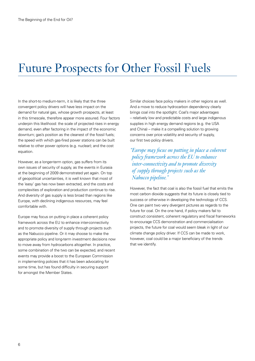### Future Prospects for Other Fossil Fuels

In the short-to medium-term, it is likely that the three convergent policy drivers will have less impact on the demand for natural gas, whose growth prospects, at least in this timescale, therefore appear more assured. Four factors underpin this likelihood: the scale of projected rises in energy demand, even after factoring in the impact of the economic downturn; gas's position as the cleanest of the fossil fuels; the speed with which gas-fired power stations can be built relative to other power options (e.g. nuclear); and the cost equation.

However, as a longer-term option, gas suffers from its own issues of security of supply, as the events in Eurasia at the beginning of 2009 demonstrated yet again. On top of geopolitical uncertainties, it is well known that most of the 'easy' gas has now been extracted, and the costs and complexities of exploration and production continue to rise. And diversity of gas supply is less broad than regions like Europe, with declining indigenous resources, may feel comfortable with.

Europe may focus on putting in place a coherent policy framework across the EU to enhance inter-connectivity and to promote diversity of supply through projects such as the Nabucco pipeline. Or it may choose to make the appropriate policy and long-term investment decisions now to move away from hydrocarbons altogether. In practice, some combination of the two can be expected, and recent events may provide a boost to the European Commission in implementing policies that it has been advocating for some time, but has found difficulty in securing support for amongst the Member States.

Similar choices face policy makers in other regions as well. And a move to reduce hydrocarbon dependency clearly brings coal into the spotlight. Coal's major advantages – relatively low and predictable costs and large indigenous supplies in high energy demand regions (e.g. the USA and China) – make it a compelling solution to growing concerns over price volatility and security of supply, our first two policy drivers.

*"Europe may focus on putting in place a coherent policy framework across the EU to enhance inter-connectivity and to promote diversity of supply through projects such as the Nabucco pipeline."*

However, the fact that coal is also the fossil fuel that emits the most carbon dioxide suggests that its future is closely tied to success or otherwise in developing the technology of CCS. One can paint two very divergent pictures as regards to the future for coal. On the one hand, if policy makers fail to construct consistent, coherent regulatory and fiscal frameworks to encourage CCS demonstration and commercialisation projects, the future for coal would seem bleak in light of our climate change policy driver. If CCS can be made to work, however, coal could be a major beneficiary of the trends that we identify.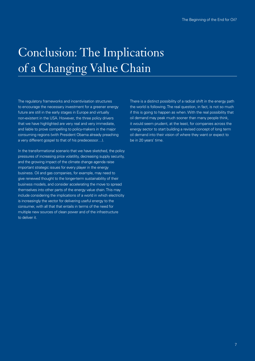# Conclusion: The Implications of a Changing Value Chain

The regulatory frameworks and incentivisation structures to encourage the necessary investment for a greener energy future are still in the early stages in Europe and virtually non-existent in the USA. However, the three policy drivers that we have highlighted are very real and very immediate, and liable to prove compelling to policy-makers in the major consuming regions (with President Obama already preaching a very different gospel to that of his predecessor…).

In the transformational scenario that we have sketched, the policy pressures of increasing price volatility, decreasing supply security, and the growing impact of the climate change agenda raise important strategic issues for every player in the energy business. Oil and gas companies, for example, may need to give renewed thought to the longer-term sustainability of their business models, and consider accelerating the move to spread themselves into other parts of the energy value chain. This may include considering the implications of a world in which electricity is increasingly the vector for delivering useful energy to the consumer, with all that that entails in terms of the need for multiple new sources of clean power and of the infrastructure to deliver it.

There is a distinct possibility of a radical shift in the energy path the world is following. The real question, in fact, is not so much if this is going to happen as when. With the real possibility that oil demand may peak much sooner than many people think, it would seem prudent, at the least, for companies across the energy sector to start building a revised concept of long term oil demand into their vision of where they want or expect to be in 20 years' time.